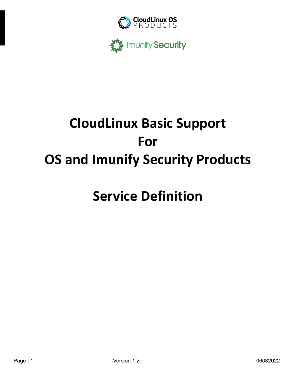



# **CloudLinux Basic Support For OS and Imunify Security Products**

## **Service Definition**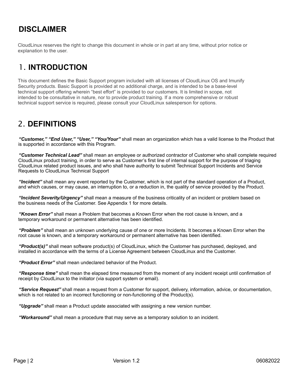## **DISCLAIMER**

CloudLinux reserves the right to change this document in whole or in part at any time, without prior notice or explanation to the user.

## 1. **INTRODUCTION**

This document defines the Basic Support program included with all licenses of CloudLinux OS and Imunify Security products. Basic Support is provided at no additional charge, and is intended to be a base-level technical support offering wherein "best effort" is provided to our customers. It is limited in scope, not intended to be consultative in nature, nor to provide product training. If a more comprehensive or robust technical support service is required, please consult your CloudLinux salesperson for options.

### 2. **DEFINITIONS**

*"Customer," "End User," "User," "You/Your"* shall mean an organization which has a valid license to the Product that is supported in accordance with this Program.

*"Customer Technical Lead"* shall mean an employee or authorized contractor of Customer who shall complete required CloudLinux product training, in order to serve as Customer's first line of internal support for the purpose of triaging CloudLinux related product issues, and who shall have authority to submit Technical Support Incidents and Service Requests to CloudLinux Technical Support

*"Incident"* shall mean any event reported by the Customer, which is not part of the standard operation of a Product, and which causes, or may cause, an interruption to, or a reduction in, the quality of service provided by the Product.

*"Incident Severity/Urgency"* shall mean a measure of the business criticality of an incident or problem based on the business needs of the Customer. See Appendix 1 for more details.

*"Known Error"* shall mean a Problem that becomes a Known Error when the root cause is known, and a temporary workaround or permanent alternative has been identified.

*"Problem"* shall mean an unknown underlying cause of one or more Incidents. It becomes a Known Error when the root cause is known, and a temporary workaround or permanent alternative has been identified.

*"Product(s)"* shall mean software product(s) of CloudLinux, which the Customer has purchased, deployed, and installed in accordance with the terms of a License Agreement between CloudLinux and the Customer.

*"Product Error"* shall mean undeclared behavior of the Product.

*"Response time"* shall mean the elapsed time measured from the moment of any incident receipt until confirmation of receipt by CloudLinux to the initiator (via support system or email).

*"Service Request"* shall mean a request from a Customer for support, delivery, information, advice, or documentation, which is not related to an incorrect functioning or non-functioning of the Product(s).

*"Upgrade"* shall mean a Product update associated with assigning a new version number.

*"Workaround"* shall mean a procedure that may serve as a temporary solution to an incident.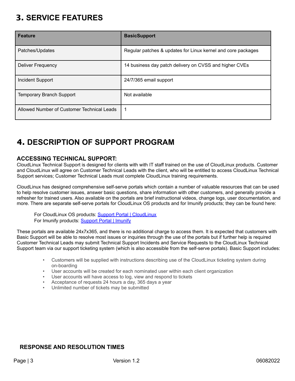## 3. **SERVICE FEATURES**

| <b>Feature</b>                             | <b>BasicSupport</b>                                          |
|--------------------------------------------|--------------------------------------------------------------|
| Patches/Updates                            | Regular patches & updates for Linux kernel and core packages |
| Deliver Frequency                          | 14 business day patch delivery on CVSS and higher CVEs       |
| Incident Support                           | 24/7/365 email support                                       |
| <b>Temporary Branch Support</b>            | Not available                                                |
| Allowed Number of Customer Technical Leads |                                                              |

## 4. **DESCRIPTION OF SUPPORT PROGRAM**

#### **ACCESSING TECHNICAL SUPPORT:**

CloudLinux Technical Support is designed for clients with with IT staff trained on the use of CloudLinux products. Customer and CloudLinux will agree on Customer Technical Leads with the client, who will be entitled to access CloudLinux Technical Support services; Customer Technical Leads must complete CloudLinux training requirements.

CloudLinux has designed comprehensive self-serve portals which contain a number of valuable resources that can be used to help resolve customer issues, answer basic questions, share information with other customers, and generally provide a refresher for trained users. Also available on the portals are brief instructional videos, change logs, user documentation, and more. There are separate self-serve portals for CloudLinux OS products and for Imunify products; they can be found here:

For CloudLinux OS products: Support Portal | [CloudLinux](https://www.cloudlinux.com/support-portal/) For Imunify products: Support Portal | Imunify

These portals are available 24x7x365, and there is no additional charge to access them. It is expected that customers with Basic Support will be able to resolve most issues or inquiries through the use of the portals but if further help is required Customer Technical Leads may submit Technical Support Incidents and Service Requests to the CloudLinux Technical Support team via our support ticketing system (which is also accessible from the self-serve portals). Basic Support includes:

- Customers will be supplied with instructions describing use of the CloudLinux ticketing system during on-boarding
- User accounts will be created for each nominated user within each client organization
- User accounts will have access to log, view and respond to tickets
- Acceptance of requests 24 hours a day, 365 days a year
- Unlimited number of tickets may be submitted

#### **RESPONSE AND RESOLUTION TIMES**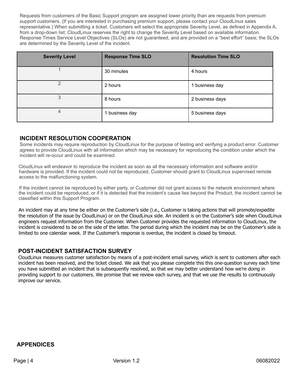Requests from customers of the Basic Support program are assigned lower priority than are requests from premium support customers. (If you are interested in purchasing premium support, please contact your CloudLinux sales representative.) When submitting a ticket, Customers will select the appropriate Severity Level, as defined in Appendix A, from a drop-down list; CloudLinux reserves the right to change the Severity Level based on available information. Response Times Service Level Objectives (SLOs) are not guaranteed, and are provided on a "best effort" basis; the SLOs are determined by the Severity Level of the incident.

| <b>Severity Level</b> | <b>Response Time SLO</b> | <b>Resolution Time SLO</b> |
|-----------------------|--------------------------|----------------------------|
|                       | 30 minutes               | 4 hours                    |
| 2                     | 2 hours                  | business day               |
| 3                     | 8 hours                  | 2 business days            |
| 4                     | 1 business day           | 5 business days            |

#### **INCIDENT RESOLUTION COOPERATION**

Some incidents may require reproduction by CloudLinux for the purpose of testing and verifying a product error. Customer agrees to provide CloudLinux with all information which may be necessary for reproducing the condition under which the incident will re-occur and could be examined.

CloudLinux will endeavor to reproduce the incident as soon as all the necessary information and software and/or hardware is provided. If the incident could not be reproduced, Customer should grant to CloudLinux supervised remote access to the malfunctioning system.

If the incident cannot be reproduced by either party, or Customer did not grant access to the network environment where the incident could be reproduced, or if it is detected that the incident's cause lies beyond the Product, the incident cannot be classified within this Support Program.

An incident may at any time be either on the Customer's side (i.e., Customer is taking actions that will promote/expedite the resolution of the issue by CloudLinux) or on the CloudLinux side. An incident is on the Customer's side when CloudLinux engineers request information from the Customer. When Customer provides the requested information to CloudLinux, the incident is considered to be on the side of the latter. The period during which the incident may be on the Customer's side is limited to one calendar week. If the Customer's response is overdue, the incident is closed by timeout.

#### **POST-INCIDENT SATISFACTION SURVEY**

CloudLinux measures customer satisfaction by means of a post-incident email survey, which is sent to customers after each incident has been resolved, and the ticket closed. We ask that you please complete this this one-question survey each time you have submitted an incident that is subsequently resolved, so that we may better understand how we're doing in providing support to our customers. We promise that we review each survey, and that we use the results to continuously improve our service.

#### **APPENDICES**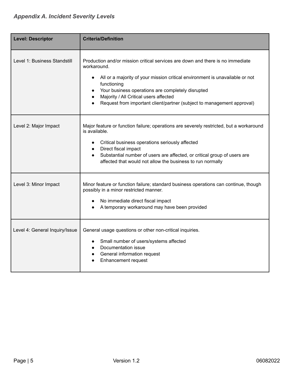| <b>Level: Descriptor</b>       | <b>Criteria/Definition</b>                                                                                                                                                                                                                                                                                                                                            |
|--------------------------------|-----------------------------------------------------------------------------------------------------------------------------------------------------------------------------------------------------------------------------------------------------------------------------------------------------------------------------------------------------------------------|
| Level 1: Business Standstill   | Production and/or mission critical services are down and there is no immediate<br>workaround.<br>All or a majority of your mission critical environment is unavailable or not<br>functioning<br>Your business operations are completely disrupted<br>Majority / All Critical users affected<br>Request from important client/partner (subject to management approval) |
| Level 2: Major Impact          | Major feature or function failure; operations are severely restricted, but a workaround<br>is available.<br>Critical business operations seriously affected<br>$\bullet$<br>Direct fiscal impact<br>$\bullet$<br>Substantial number of users are affected, or critical group of users are<br>affected that would not allow the business to run normally               |
| Level 3: Minor Impact          | Minor feature or function failure; standard business operations can continue, though<br>possibly in a minor restricted manner.<br>No immediate direct fiscal impact<br>A temporary workaround may have been provided                                                                                                                                                  |
| Level 4: General Inquiry/Issue | General usage questions or other non-critical inquiries.<br>Small number of users/systems affected<br>Documentation issue<br>General information request<br>$\bullet$<br><b>Enhancement request</b>                                                                                                                                                                   |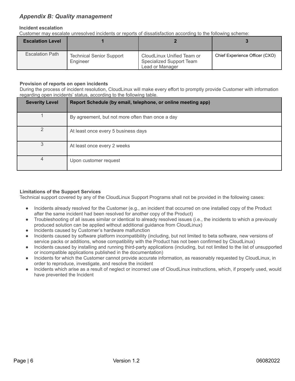#### *Appendix B: Quality management*

#### **Incident escalation**

Customer may escalate unresolved incidents or reports of dissatisfaction according to the following scheme:

| <b>Escalation Level</b> |                                             |                                                                           |                                |
|-------------------------|---------------------------------------------|---------------------------------------------------------------------------|--------------------------------|
| <b>Escalation Path</b>  | <b>Technical Senior Support</b><br>Engineer | CloudLinux Unified Team or<br>Specialized Support Team<br>Lead or Manager | Chief Experience Officer (CXO) |

#### **Provision of reports on open incidents**

During the process of incident resolution, CloudLinux will make every effort to promptly provide Customer with information regarding open incidents' status, according to the following table.

| <b>Severity Level</b> | Report Schedule (by email, telephone, or online meeting app) |
|-----------------------|--------------------------------------------------------------|
|                       | By agreement, but not more often than once a day             |
| っ                     | At least once every 5 business days                          |
|                       | At least once every 2 weeks                                  |
| 4                     | Upon customer request                                        |

#### **Limitations of the Support Services**

Technical support covered by any of the CloudLinux Support Programs shall not be provided in the following cases:

- Incidents already resolved for the Customer (e.g., an incident that occurred on one installed copy of the Product after the same incident had been resolved for another copy of the Product)
- Troubleshooting of all issues similar or identical to already resolved issues (i.e., the incidents to which a previously produced solution can be applied without additional guidance from CloudLinux)
- Incidents caused by Customer's hardware malfunction
- Incidents caused by software platform incompatibility (including, but not limited to beta software, new versions of service packs or additions, whose compatibility with the Product has not been confirmed by CloudLinux)
- Incidents caused by installing and running third-party applications (including, but not limited to the list of unsupported or incompatible applications published in the documentation)
- Incidents for which the Customer cannot provide accurate information, as reasonably requested by CloudLinux, in order to reproduce, investigate, and resolve the incident
- Incidents which arise as a result of neglect or incorrect use of CloudLinux instructions, which, if properly used, would have prevented the Incident